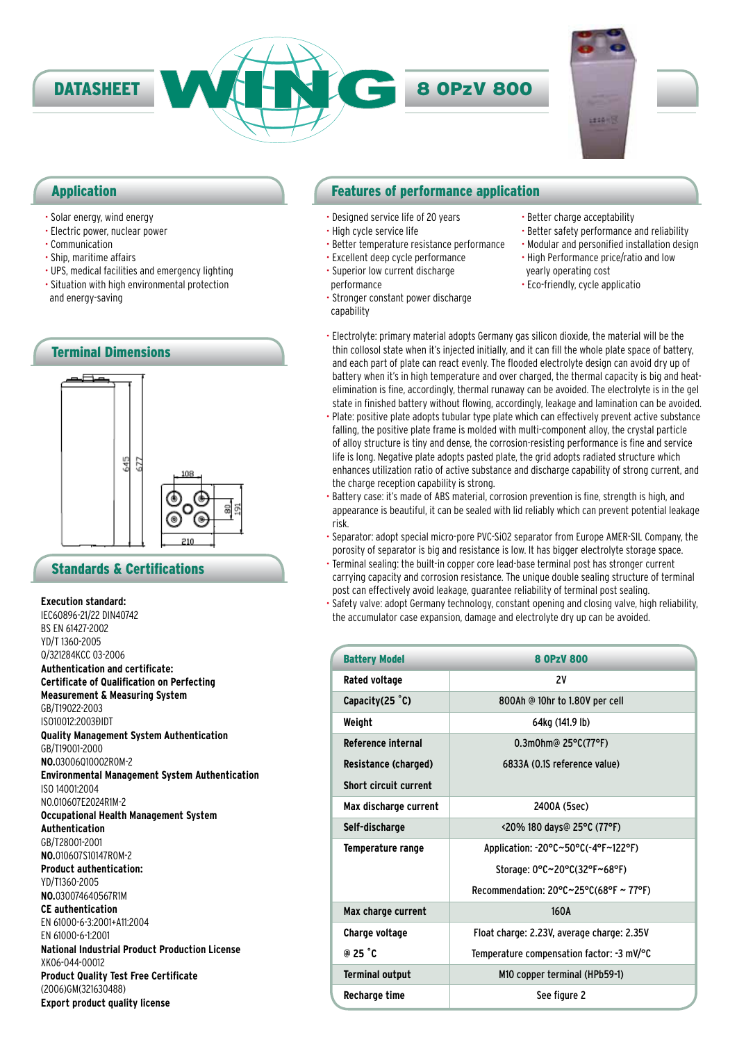

### Application

- Solar energy, wind energy
- Electric power, nuclear power
- Communication
- Ship, maritime affairs
- UPS, medical facilities and emergency lighting
- Situation with high environmental protection and energy-saving



### Standards & Certifications

### **Execution standard:**

IEC60896-21/22 DIN40742 BS EN 61427-2002 YD/T 1360-2005 Q/321284KCC 03-2006 **Authentication and certificate: Certificate of Qualification on Perfecting Measurement & Measuring System** GB/T19022-2003 IS010012:2003ĐIDT **Quality Management System Authentication** GB/T19001-2000 **NO.**03006Q10002R0M-2 **Environmental Management System Authentication** ISO 14001:2004 NO.010607E2024R1M-2 **Occupational Health Management System Authentication** GB/T28001-2001 **NO.**010607S10147R0M-2 **Product authentication:** YD/T1360-2005 **NO.**030074640567R1M **CE authentication** EN 61000-6-3:2001+A11:2004 EN 61000-6-1:2001 **National Industrial Product Production License** XK06-044-00012 **Product Quality Test Free Certificate** (2006)GM(321630488) **Export product quality license**

### Features of performance application

- Designed service life of 20 years
- High cycle service life
- Better temperature resistance performance
- Excellent deep cycle performance • Superior low current discharge
- performance
- Stronger constant power discharge

capability

- Better charge acceptability
- Better safety performance and reliability
- Modular and personified installation design • High Performance price/ratio and low
- yearly operating cost • Eco-friendly, cycle applicatio
- Electrolyte: primary material adopts Germany gas silicon dioxide, the material will be the thin collosol state when it's injected initially, and it can fill the whole plate space of battery, and each part of plate can react evenly. The flooded electrolyte design can avoid dry up of battery when it's in high temperature and over charged, the thermal capacity is big and heatelimination is fine, accordingly, thermal runaway can be avoided. The electrolyte is in the gel state in finished battery without flowing, accordingly, leakage and lamination can be avoided.
- Plate: positive plate adopts tubular type plate which can effectively prevent active substance falling, the positive plate frame is molded with multi-component alloy, the crystal particle of alloy structure is tiny and dense, the corrosion-resisting performance is fine and service life is long. Negative plate adopts pasted plate, the grid adopts radiated structure which enhances utilization ratio of active substance and discharge capability of strong current, and the charge reception capability is strong.
- Battery case: it's made of ABS material, corrosion prevention is fine, strength is high, and appearance is beautiful, it can be sealed with lid reliably which can prevent potential leakage risk.
- Separator: adopt special micro-pore PVC-SiO2 separator from Europe AMER-SIL Company, the porosity of separator is big and resistance is low. It has bigger electrolyte storage space.
- Terminal sealing: the built-in copper core lead-base terminal post has stronger current carrying capacity and corrosion resistance. The unique double sealing structure of terminal post can effectively avoid leakage, guarantee reliability of terminal post sealing.
- Safety valve: adopt Germany technology, constant opening and closing valve, high reliability, the accumulator case expansion, damage and electrolyte dry up can be avoided.

| <b>Battery Model</b>         | <b>8 OPzV 800</b>                                            |  |
|------------------------------|--------------------------------------------------------------|--|
| Rated voltage                | 2V                                                           |  |
| Capacity $(25 \degree C)$    | 800Ah @ 10hr to 1.80V per cell                               |  |
| Weight                       | 64kg (141.9 lb)                                              |  |
| <b>Reference internal</b>    | $0.3$ m0hm@ 25°C(77°F)                                       |  |
| Resistance (charged)         | 6833A (0.1S reference value)                                 |  |
| <b>Short circuit current</b> |                                                              |  |
| Max discharge current        | 2400A (5sec)                                                 |  |
| Self-discharge               | <20% 180 days@ 25°C (77°F)                                   |  |
| Temperature range            | Application: -20°C~50°C(-4°F~122°F)                          |  |
|                              | Storage: 0°C~20°C(32°F~68°F)                                 |  |
|                              | Recommendation: $20^{\circ}$ C $\sim$ 25°C(68°F $\sim$ 77°F) |  |
| Max charge current           | 160A                                                         |  |
| Charge voltage               | Float charge: 2.23V, average charge: 2.35V                   |  |
| @ 25 °C                      | Temperature compensation factor: -3 mV/°C                    |  |
| <b>Terminal output</b>       | M10 copper terminal (HPb59-1)                                |  |
| Recharge time                | See figure 2                                                 |  |